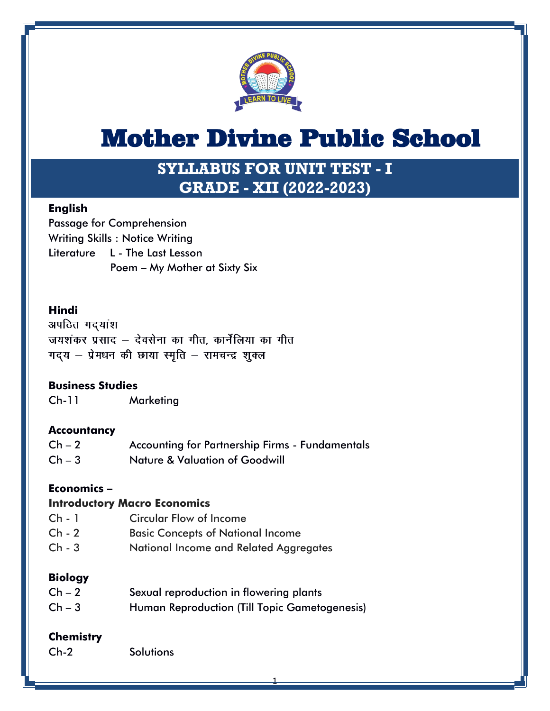

# Mother Divine Public School

# **SYLLABUS FOR UNIT TEST - I GRADE - XII (2022-2023)**

# **English**

Passage for Comprehension Writing Skills : Notice Writing Literature L - The Last Lesson Poem – My Mother at Sixty Six

# **Hindi**

अपठित गद्यांश जयशंकर प्रसाद – देवसेना का गीत, कार्नेलिया का गीत गद्य - प्रेमधन की छाया स्मृति - रामचन्द्र शुक्ल

#### **Business Studies**

Ch-11 Marketing

# **Accountancy**

| $Ch - 2$ | <b>Accounting for Partnership Firms - Fundamentals</b> |
|----------|--------------------------------------------------------|
| $Ch - 3$ | <b>Nature &amp; Valuation of Goodwill</b>              |

# **Economics –**

#### **Introductory Macro Economics**

- Ch 1 Circular Flow of Income
- Ch 2 Basic Concepts of National Income
- Ch 3 National Income and Related Aggregates

#### **Biology**

| $Ch - 2$ | Sexual reproduction in flowering plants       |
|----------|-----------------------------------------------|
| $Ch-3$   | Human Reproduction (Till Topic Gametogenesis) |

#### **Chemistry**

| Solutions |
|-----------|
|           |